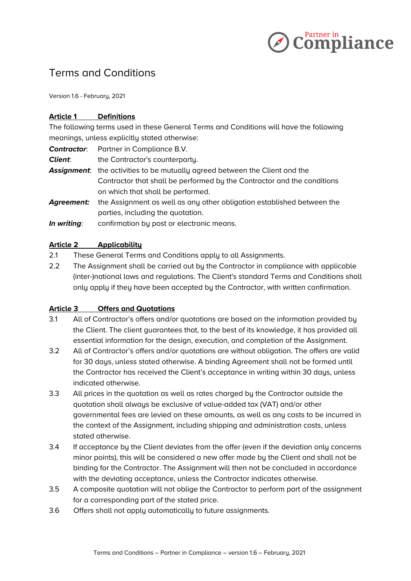

# Terms and Conditions

Version 1.6 - February, 2021

# **Article 1 Definitions**

The following terms used in these General Terms and Conditions will have the following meanings, unless explicitly stated otherwise:

*Contractor*: Partner in Compliance B.V.

**Client:** the Contractor's counterparty.

*Assignment*: the activities to be mutually agreed between the Client and the Contractor that shall be performed by the Contractor and the conditions on which that shall be performed.

- *Agreement:* the Assignment as well as any other obligation established between the parties, including the quotation.
- *In writing*: confirmation by post or electronic means.

# **Article 2 Applicability**

- 2.1 These General Terms and Conditions apply to all Assignments.
- 2.2 The Assignment shall be carried out by the Contractor in compliance with applicable (inter-)national laws and regulations. The Client's standard Terms and Conditions shall only apply if they have been accepted by the Contractor, with written confirmation.

# **Article 3 Offers and Quotations**

- 3.1 All of Contractor's offers and/or quotations are based on the information provided by the Client. The client guarantees that, to the best of its knowledge, it has provided all essential information for the design, execution, and completion of the Assignment.
- 3.2 All of Contractor's offers and/or quotations are without obligation. The offers are valid for 30 days, unless stated otherwise. A binding Agreement shall not be formed until the Contractor has received the Client's acceptance in writing within 30 days, unless indicated otherwise.
- 3.3 All prices in the quotation as well as rates charged by the Contractor outside the quotation shall always be exclusive of value-added tax (VAT) and/or other governmental fees are levied on these amounts, as well as any costs to be incurred in the context of the Assignment, including shipping and administration costs, unless stated otherwise.
- 3.4 If acceptance by the Client deviates from the offer (even if the deviation only concerns minor points), this will be considered a new offer made by the Client and shall not be binding for the Contractor. The Assignment will then not be concluded in accordance with the deviating acceptance, unless the Contractor indicates otherwise.
- 3.5 A composite quotation will not oblige the Contractor to perform part of the assignment for a corresponding part of the stated price.
- 3.6 Offers shall not apply automatically to future assignments.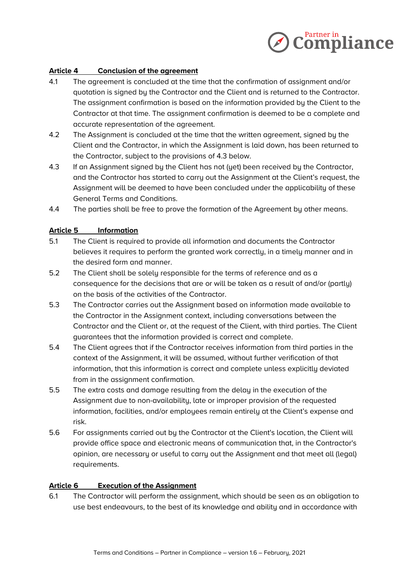

# **Article 4 Conclusion of the agreement**

- 4.1 The agreement is concluded at the time that the confirmation of assignment and/or quotation is signed by the Contractor and the Client and is returned to the Contractor. The assignment confirmation is based on the information provided by the Client to the Contractor at that time. The assignment confirmation is deemed to be a complete and accurate representation of the agreement.
- 4.2 The Assignment is concluded at the time that the written agreement, signed by the Client and the Contractor, in which the Assignment is laid down, has been returned to the Contractor, subject to the provisions of 4.3 below.
- 4.3 If an Assignment signed by the Client has not (yet) been received by the Contractor, and the Contractor has started to carry out the Assignment at the Client's request, the Assignment will be deemed to have been concluded under the applicability of these General Terms and Conditions.
- 4.4 The parties shall be free to prove the formation of the Agreement by other means.

# **Article 5 Information**

- 5.1 The Client is required to provide all information and documents the Contractor believes it requires to perform the granted work correctly, in a timely manner and in the desired form and manner.
- 5.2 The Client shall be solely responsible for the terms of reference and as a consequence for the decisions that are or will be taken as a result of and/or (partly) on the basis of the activities of the Contractor.
- 5.3 The Contractor carries out the Assignment based on information made available to the Contractor in the Assignment context, including conversations between the Contractor and the Client or, at the request of the Client, with third parties. The Client guarantees that the information provided is correct and complete.
- 5.4 The Client agrees that if the Contractor receives information from third parties in the context of the Assignment, it will be assumed, without further verification of that information, that this information is correct and complete unless explicitly deviated from in the assignment confirmation.
- 5.5 The extra costs and damage resulting from the delay in the execution of the Assignment due to non-availability, late or improper provision of the requested information, facilities, and/or employees remain entirely at the Client's expense and risk.
- 5.6 For assignments carried out by the Contractor at the Client's location, the Client will provide office space and electronic means of communication that, in the Contractor's opinion, are necessary or useful to carry out the Assignment and that meet all (legal) requirements.

#### **Article 6 Execution of the Assignment**

6.1 The Contractor will perform the assignment, which should be seen as an obligation to use best endeavours, to the best of its knowledge and ability and in accordance with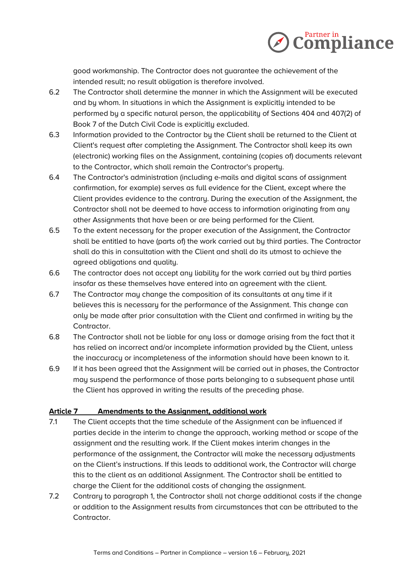

good workmanship. The Contractor does not guarantee the achievement of the intended result; no result obligation is therefore involved.

- 6.2 The Contractor shall determine the manner in which the Assignment will be executed and by whom. In situations in which the Assignment is explicitly intended to be performed by a specific natural person, the applicability of Sections 404 and 407(2) of Book 7 of the Dutch Civil Code is explicitly excluded.
- 6.3 Information provided to the Contractor by the Client shall be returned to the Client at Client's request after completing the Assignment. The Contractor shall keep its own (electronic) working files on the Assignment, containing (copies of) documents relevant to the Contractor, which shall remain the Contractor's property.
- 6.4 The Contractor's administration (including e-mails and digital scans of assignment confirmation, for example) serves as full evidence for the Client, except where the Client provides evidence to the contrary. During the execution of the Assignment, the Contractor shall not be deemed to have access to information originating from any other Assignments that have been or are being performed for the Client.
- 6.5 To the extent necessary for the proper execution of the Assignment, the Contractor shall be entitled to have (parts of) the work carried out by third parties. The Contractor shall do this in consultation with the Client and shall do its utmost to achieve the agreed obligations and quality.
- 6.6 The contractor does not accept any liability for the work carried out by third parties insofar as these themselves have entered into an agreement with the client.
- 6.7 The Contractor may change the composition of its consultants at any time if it believes this is necessary for the performance of the Assignment. This change can only be made after prior consultation with the Client and confirmed in writing by the Contractor.
- 6.8 The Contractor shall not be liable for any loss or damage arising from the fact that it has relied on incorrect and/or incomplete information provided by the Client, unless the inaccuracy or incompleteness of the information should have been known to it.
- 6.9 If it has been agreed that the Assignment will be carried out in phases, the Contractor may suspend the performance of those parts belonging to a subsequent phase until the Client has approved in writing the results of the preceding phase.

# **Article 7 Amendments to the Assignment, additional work**

- 7.1 The Client accepts that the time schedule of the Assignment can be influenced if parties decide in the interim to change the approach, working method or scope of the assignment and the resulting work. If the Client makes interim changes in the performance of the assignment, the Contractor will make the necessary adjustments on the Client's instructions. If this leads to additional work, the Contractor will charge this to the client as an additional Assignment. The Contractor shall be entitled to charge the Client for the additional costs of changing the assignment.
- 7.2 Contrary to paragraph 1, the Contractor shall not charge additional costs if the change or addition to the Assignment results from circumstances that can be attributed to the Contractor.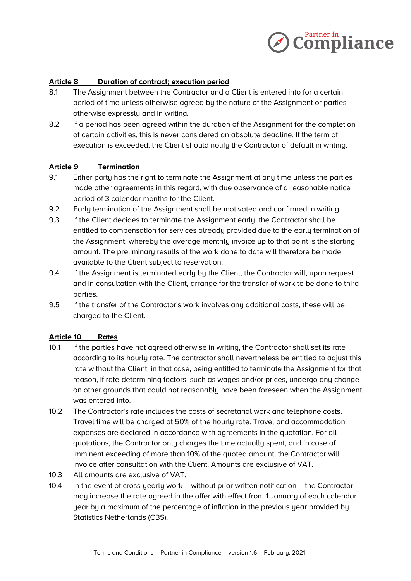

# **Article 8 Duration of contract; execution period**

- 8.1 The Assignment between the Contractor and a Client is entered into for a certain period of time unless otherwise agreed by the nature of the Assignment or parties otherwise expressly and in writing.
- 8.2 If a period has been agreed within the duration of the Assignment for the completion of certain activities, this is never considered an absolute deadline. If the term of execution is exceeded, the Client should notify the Contractor of default in writing.

#### **Article 9 Termination**

- 9.1 Either party has the right to terminate the Assignment at any time unless the parties made other agreements in this regard, with due observance of a reasonable notice period of 3 calendar months for the Client.
- 9.2 Early termination of the Assignment shall be motivated and confirmed in writing.
- 9.3 If the Client decides to terminate the Assignment early, the Contractor shall be entitled to compensation for services already provided due to the early termination of the Assignment, whereby the average monthly invoice up to that point is the starting amount. The preliminary results of the work done to date will therefore be made available to the Client subject to reservation.
- 9.4 If the Assignment is terminated early by the Client, the Contractor will, upon request and in consultation with the Client, arrange for the transfer of work to be done to third parties.
- 9.5 If the transfer of the Contractor's work involves any additional costs, these will be charged to the Client.

#### **Article 10 Rates**

- 10.1 If the parties have not agreed otherwise in writing, the Contractor shall set its rate according to its hourly rate. The contractor shall nevertheless be entitled to adjust this rate without the Client, in that case, being entitled to terminate the Assignment for that reason, if rate-determining factors, such as wages and/or prices, undergo any change on other grounds that could not reasonably have been foreseen when the Assignment was entered into.
- 10.2 The Contractor's rate includes the costs of secretarial work and telephone costs. Travel time will be charged at 50% of the hourly rate. Travel and accommodation expenses are declared in accordance with agreements in the quotation. For all quotations, the Contractor only charges the time actually spent, and in case of imminent exceeding of more than 10% of the quoted amount, the Contractor will invoice after consultation with the Client. Amounts are exclusive of VAT.
- 10.3 All amounts are exclusive of VAT.
- 10.4 In the event of cross-yearly work without prior written notification the Contractor may increase the rate agreed in the offer with effect from 1 January of each calendar year by a maximum of the percentage of inflation in the previous year provided by Statistics Netherlands (CBS).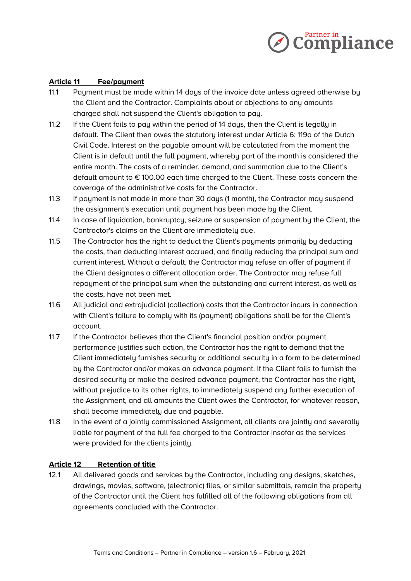

## **Article 11 Fee/payment**

- 11.1 Payment must be made within 14 days of the invoice date unless agreed otherwise by the Client and the Contractor. Complaints about or objections to any amounts charged shall not suspend the Client's obligation to pay.
- 11.2 If the Client fails to pay within the period of 14 days, then the Client is legally in default. The Client then owes the statutory interest under Article 6: 119a of the Dutch Civil Code. Interest on the payable amount will be calculated from the moment the Client is in default until the full payment, whereby part of the month is considered the entire month. The costs of a reminder, demand, and summation due to the Client's default amount to  $\epsilon$  100.00 each time charged to the Client. These costs concern the coverage of the administrative costs for the Contractor.
- 11.3 If payment is not made in more than 30 days (1 month), the Contractor may suspend the assignment's execution until payment has been made by the Client.
- 11.4 In case of liquidation, bankruptcy, seizure or suspension of payment by the Client, the Contractor's claims on the Client are immediately due.
- 11.5 The Contractor has the right to deduct the Client's payments primarily by deducting the costs, then deducting interest accrued, and finally reducing the principal sum and current interest. Without a default, the Contractor may refuse an offer of payment if the Client designates a different allocation order. The Contractor may refuse full repayment of the principal sum when the outstanding and current interest, as well as the costs, have not been met.
- 11.6 All judicial and extrajudicial (collection) costs that the Contractor incurs in connection with Client's failure to comply with its (payment) obligations shall be for the Client's account.
- 11.7 If the Contractor believes that the Client's financial position and/or payment performance justifies such action, the Contractor has the right to demand that the Client immediately furnishes security or additional security in a form to be determined by the Contractor and/or makes an advance payment. If the Client fails to furnish the desired security or make the desired advance payment, the Contractor has the right, without prejudice to its other rights, to immediately suspend any further execution of the Assignment, and all amounts the Client owes the Contractor, for whatever reason, shall become immediately due and payable.
- 11.8 In the event of a jointly commissioned Assignment, all clients are jointly and severally liable for payment of the full fee charged to the Contractor insofar as the services were provided for the clients jointly.

#### **Article 12 Retention of title**

12.1 All delivered goods and services by the Contractor, including any designs, sketches, drawings, movies, software, (electronic) files, or similar submittals, remain the property of the Contractor until the Client has fulfilled all of the following obligations from all agreements concluded with the Contractor.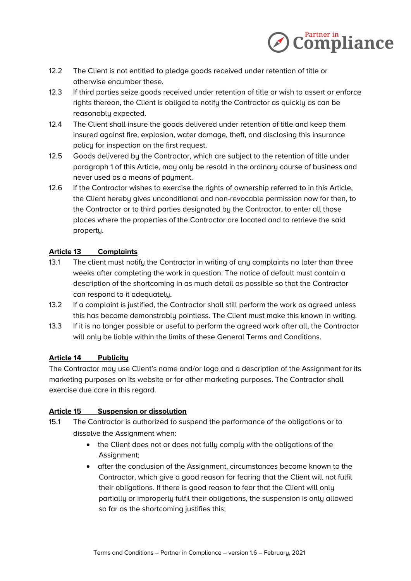

- 12.2 The Client is not entitled to pledge goods received under retention of title or otherwise encumber these.
- 12.3 If third parties seize goods received under retention of title or wish to assert or enforce rights thereon, the Client is obliged to notify the Contractor as quickly as can be reasonably expected.
- 12.4 The Client shall insure the goods delivered under retention of title and keep them insured against fire, explosion, water damage, theft, and disclosing this insurance policy for inspection on the first request.
- 12.5 Goods delivered by the Contractor, which are subject to the retention of title under paragraph 1 of this Article, may only be resold in the ordinary course of business and never used as a means of payment.
- 12.6 If the Contractor wishes to exercise the rights of ownership referred to in this Article, the Client hereby gives unconditional and non-revocable permission now for then, to the Contractor or to third parties designated by the Contractor, to enter all those places where the properties of the Contractor are located and to retrieve the said property.

# **Article 13 Complaints**

- 13.1 The client must notify the Contractor in writing of any complaints no later than three weeks after completing the work in question. The notice of default must contain a description of the shortcoming in as much detail as possible so that the Contractor can respond to it adequately.
- 13.2 If a complaint is justified, the Contractor shall still perform the work as agreed unless this has become demonstrably pointless. The Client must make this known in writing.
- 13.3 If it is no longer possible or useful to perform the agreed work after all, the Contractor will only be liable within the limits of these General Terms and Conditions.

# **Article 14 Publicity**

The Contractor may use Client's name and/or logo and a description of the Assignment for its marketing purposes on its website or for other marketing purposes. The Contractor shall exercise due care in this regard.

# **Article 15 Suspension or dissolution**

- 15.1 The Contractor is authorized to suspend the performance of the obligations or to dissolve the Assignment when:
	- the Client does not or does not fully comply with the obligations of the Assignment;
	- after the conclusion of the Assignment, circumstances become known to the Contractor, which give a good reason for fearing that the Client will not fulfil their obligations. If there is good reason to fear that the Client will only partially or improperly fulfil their obligations, the suspension is only allowed so far as the shortcoming justifies this;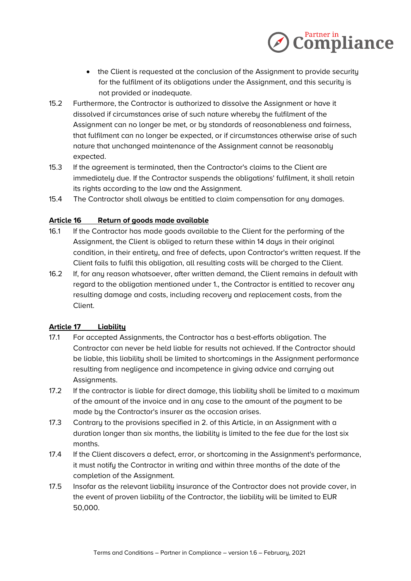

- the Client is requested at the conclusion of the Assignment to provide security for the fulfilment of its obligations under the Assignment, and this security is not provided or inadequate.
- 15.2 Furthermore, the Contractor is authorized to dissolve the Assignment or have it dissolved if circumstances arise of such nature whereby the fulfilment of the Assignment can no longer be met, or by standards of reasonableness and fairness, that fulfilment can no longer be expected, or if circumstances otherwise arise of such nature that unchanged maintenance of the Assignment cannot be reasonably expected.
- 15.3 If the agreement is terminated, then the Contractor's claims to the Client are immediately due. If the Contractor suspends the obligations' fulfilment, it shall retain its rights according to the law and the Assignment.
- 15.4 The Contractor shall always be entitled to claim compensation for any damages.

# **Article 16 Return of goods made available**

- 16.1 If the Contractor has made goods available to the Client for the performing of the Assignment, the Client is obliged to return these within 14 days in their original condition, in their entirety, and free of defects, upon Contractor's written request. If the Client fails to fulfil this obligation, all resulting costs will be charged to the Client.
- 16.2 If, for any reason whatsoever, after written demand, the Client remains in default with regard to the obligation mentioned under 1., the Contractor is entitled to recover any resulting damage and costs, including recovery and replacement costs, from the Client.

#### **Article 17 Liability**

- 17.1 For accepted Assignments, the Contractor has a best-efforts obligation. The Contractor can never be held liable for results not achieved. If the Contractor should be liable, this liability shall be limited to shortcomings in the Assignment performance resulting from negligence and incompetence in giving advice and carrying out Assignments.
- 17.2 If the contractor is liable for direct damage, this liability shall be limited to a maximum of the amount of the invoice and in any case to the amount of the payment to be made by the Contractor's insurer as the occasion arises.
- 17.3 Contrary to the provisions specified in 2. of this Article, in an Assignment with a duration longer than six months, the liability is limited to the fee due for the last six months.
- 17.4 If the Client discovers a defect, error, or shortcoming in the Assignment's performance, it must notify the Contractor in writing and within three months of the date of the completion of the Assignment.
- 17.5 Insofar as the relevant liability insurance of the Contractor does not provide cover, in the event of proven liability of the Contractor, the liability will be limited to EUR 50,000.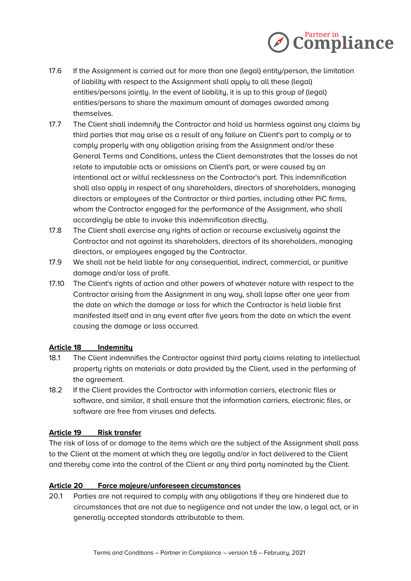

- 17.6 If the Assignment is carried out for more than one (legal) entity/person, the limitation of liability with respect to the Assignment shall apply to all these (legal) entities/persons jointly. In the event of liability, it is up to this group of (legal) entities/persons to share the maximum amount of damages awarded among themselves.
- 17.7 The Client shall indemnify the Contractor and hold us harmless against any claims by third parties that may arise as a result of any failure on Client's part to comply or to comply properly with any obligation arising from the Assignment and/or these General Terms and Conditions, unless the Client demonstrates that the losses do not relate to imputable acts or omissions on Client's part, or were caused by an intentional act or wilful recklessness on the Contractor's part. This indemnification shall also apply in respect of any shareholders, directors of shareholders, managing directors or employees of the Contractor or third parties, including other PiC firms, whom the Contractor engaged for the performance of the Assignment, who shall accordingly be able to invoke this indemnification directly.
- 17.8 The Client shall exercise any rights of action or recourse exclusively against the Contractor and not against its shareholders, directors of its shareholders, managing directors, or employees engaged by the Contractor.
- 17.9 We shall not be held liable for any consequential, indirect, commercial, or punitive damage and/or loss of profit.
- 17.10 The Client's rights of action and other powers of whatever nature with respect to the Contractor arising from the Assignment in any way, shall lapse after one year from the date on which the damage or loss for which the Contractor is held liable first manifested itself and in any event after five years from the date on which the event causing the damage or loss occurred.

# **Article 18 Indemnity**

- 18.1 The Client indemnifies the Contractor against third party claims relating to intellectual property rights on materials or data provided by the Client, used in the performing of the agreement.
- 18.2 If the Client provides the Contractor with information carriers, electronic files or software, and similar, it shall ensure that the information carriers, electronic files, or software are free from viruses and defects.

#### **Article 19 Risk transfer**

The risk of loss of or damage to the items which are the subject of the Assignment shall pass to the Client at the moment at which they are legally and/or in fact delivered to the Client and thereby come into the control of the Client or any third party nominated by the Client.

#### **Article 20 Force majeure/unforeseen circumstances**

20.1 Parties are not required to comply with any obligations if they are hindered due to circumstances that are not due to negligence and not under the law, a legal act, or in generally accepted standards attributable to them.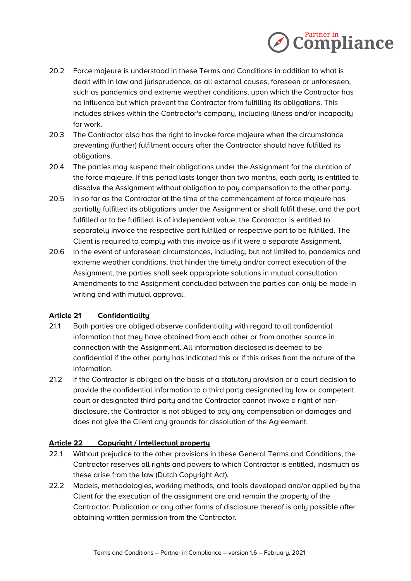

- 20.2 Force majeure is understood in these Terms and Conditions in addition to what is dealt with in law and jurisprudence, as all external causes, foreseen or unforeseen, such as pandemics and extreme weather conditions, upon which the Contractor has no influence but which prevent the Contractor from fulfilling its obligations. This includes strikes within the Contractor's company, including illness and/or incapacity for work.
- 20.3 The Contractor also has the right to invoke force majeure when the circumstance preventing (further) fulfilment occurs after the Contractor should have fulfilled its obligations.
- 20.4 The parties may suspend their obligations under the Assignment for the duration of the force majeure. If this period lasts longer than two months, each party is entitled to dissolve the Assignment without obligation to pay compensation to the other party.
- 20.5 In so far as the Contractor at the time of the commencement of force majeure has partially fulfilled its obligations under the Assignment or shall fulfil these, and the part fulfilled or to be fulfilled, is of independent value, the Contractor is entitled to separately invoice the respective part fulfilled or respective part to be fulfilled. The Client is required to comply with this invoice as if it were a separate Assignment.
- 20.6 In the event of unforeseen circumstances, including, but not limited to, pandemics and extreme weather conditions, that hinder the timely and/or correct execution of the Assignment, the parties shall seek appropriate solutions in mutual consultation. Amendments to the Assignment concluded between the parties can only be made in writing and with mutual approval.

# **Article 21 Confidentiality**

- 21.1 Both parties are obliged observe confidentiality with regard to all confidential information that they have obtained from each other or from another source in connection with the Assignment. All information disclosed is deemed to be confidential if the other party has indicated this or if this arises from the nature of the information.
- 21.2 If the Contractor is obliged on the basis of a statutory provision or a court decision to provide the confidential information to a third party designated by law or competent court or designated third party and the Contractor cannot invoke a right of nondisclosure, the Contractor is not obliged to pay any compensation or damages and does not give the Client any grounds for dissolution of the Agreement.

# **Article 22 Copyright / Intellectual property**

- 22.1 Without prejudice to the other provisions in these General Terms and Conditions, the Contractor reserves all rights and powers to which Contractor is entitled, inasmuch as these arise from the law (Dutch Copyright Act).
- 22.2 Models, methodologies, working methods, and tools developed and/or applied by the Client for the execution of the assignment are and remain the property of the Contractor. Publication or any other forms of disclosure thereof is only possible after obtaining written permission from the Contractor.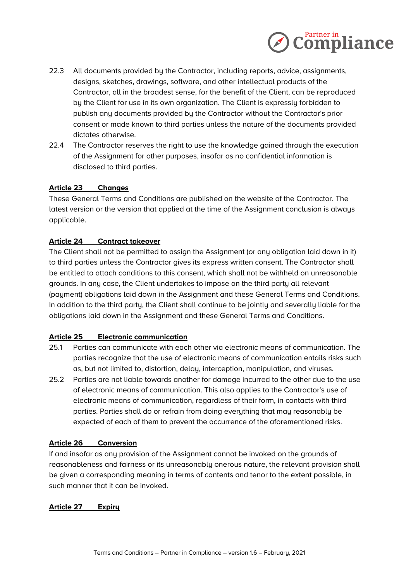

- 22.3 All documents provided by the Contractor, including reports, advice, assignments, designs, sketches, drawings, software, and other intellectual products of the Contractor, all in the broadest sense, for the benefit of the Client, can be reproduced by the Client for use in its own organization. The Client is expressly forbidden to publish any documents provided by the Contractor without the Contractor's prior consent or made known to third parties unless the nature of the documents provided dictates otherwise.
- 22.4 The Contractor reserves the right to use the knowledge gained through the execution of the Assignment for other purposes, insofar as no confidential information is disclosed to third parties.

# **Article 23 Changes**

These General Terms and Conditions are published on the website of the Contractor. The latest version or the version that applied at the time of the Assignment conclusion is always applicable.

## **Article 24 Contract takeover**

The Client shall not be permitted to assign the Assignment (or any obligation laid down in it) to third parties unless the Contractor gives its express written consent. The Contractor shall be entitled to attach conditions to this consent, which shall not be withheld on unreasonable grounds. In any case, the Client undertakes to impose on the third party all relevant (payment) obligations laid down in the Assignment and these General Terms and Conditions. In addition to the third party, the Client shall continue to be jointly and severally liable for the obligations laid down in the Assignment and these General Terms and Conditions.

#### **Article 25 Electronic communication**

- 25.1 Parties can communicate with each other via electronic means of communication. The parties recognize that the use of electronic means of communication entails risks such as, but not limited to, distortion, delay, interception, manipulation, and viruses.
- 25.2 Parties are not liable towards another for damage incurred to the other due to the use of electronic means of communication. This also applies to the Contractor's use of electronic means of communication, regardless of their form, in contacts with third parties. Parties shall do or refrain from doing everything that may reasonably be expected of each of them to prevent the occurrence of the aforementioned risks.

#### **Article 26 Conversion**

If and insofar as any provision of the Assignment cannot be invoked on the grounds of reasonableness and fairness or its unreasonably onerous nature, the relevant provision shall be given a corresponding meaning in terms of contents and tenor to the extent possible, in such manner that it can be invoked.

#### **Article 27 Expiry**